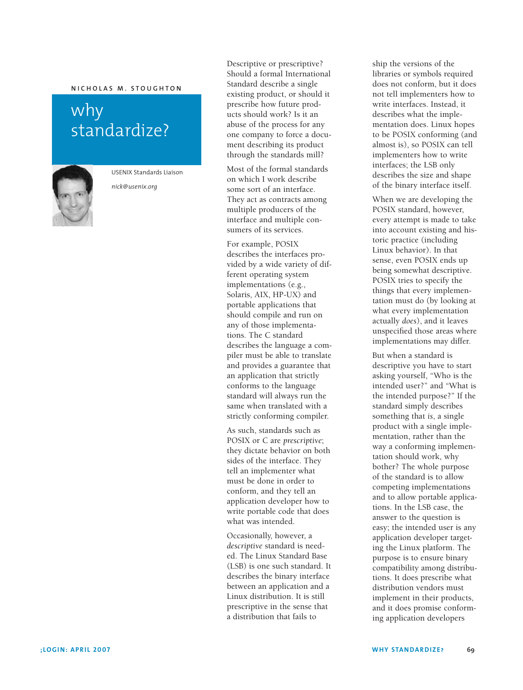## $M$  **N ICHOLAS M** . STOUGHTON

## why standardize?



USENIX Standards Liaison

*nick@usenix.org*

Descriptive or prescriptive? Should a formal International Standard describe a single existing product, or should it prescribe how future products should work? Is it an abuse of the process for any one company to force a document describing its product through the standards mill?

Most of the formal standards on which I work describe some sort of an interface. They act as contracts among multiple producers of the interface and multiple consumers of its services.

For example, POSIX describes the interfaces provided by a wide variety of different operating system implementations (e.g., Solaris, AIX, HP-UX) and portable applications that should compile and run on any of those implementations. The C standard describes the language a compiler must be able to translate and provides a guarantee that an application that strictly conforms to the language standard will always run the same when translated with a strictly conforming compiler.

As such, standards such as POSIX or C are *prescriptive*; they dictate behavior on both sides of the interface. They tell an implementer what must be done in order to conform, and they tell an application developer how to write portable code that does what was intended.

Occasionally, however, a *descriptive* standard is needed. The Linux Standard Base (LSB) is one such standard. It describes the binary interface between an application and a Linux distribution. It is still prescriptive in the sense that a distribution that fails to

ship the versions of the libraries or symbols required does not conform, but it does not tell implementers how to write interfaces. Instead, it describes what the implementation does. Linux hopes to be POSIX conforming (and almost is), so POSIX can tell implementers how to write interfaces; the LSB only describes the size and shape of the binary interface itself.

When we are developing the POSIX standard, however, every attempt is made to take into account existing and historic practice (including Linux behavior). In that sense, even POSIX ends up being somewhat descriptive. POSIX tries to specify the things that every implementation must do (by looking at what every implementation actually *does*), and it leaves unspecified those areas where implementations may differ.

But when a standard is descriptive you have to start asking yourself, "Who is the intended user?" and "What is the intended purpose?" If the standard simply describes something that *is*, a single product with a single implementation, rather than the way a conforming implementation should work, why bother? The whole purpose of the standard is to allow competing implementations and to allow portable applications. In the LSB case, the answer to the question is easy; the intended user is any application developer targeting the Linux platform. The purpose is to ensure binary compatibility among distributions. It does prescribe what distribution vendors must implement in their products, and it does promise conforming application developers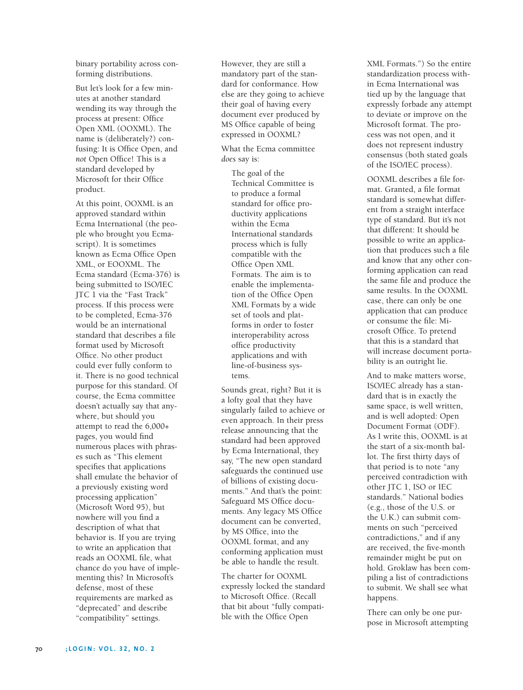binary portability across conforming distributions.

But let's look for a few minutes at another standard wending its way through the process at present: Office Open XML (OOXML). The name is (deliberately?) confusing: It is Office Open, and *not* Open Office! This is a standard developed by Microsoft for their Office product.

At this point, OOXML is an approved standard within Ecma International (the people who brought you Ecmascript). It is sometimes known as Ecma Office Open XML, or EOOXML. The Ecma standard (Ecma-376) is being submitted to ISO/IEC JTC 1 via the "Fast Track" process. If this process were to be completed, Ecma-376 would be an international standard that describes a file format used by Microsoft Office. No other product could ever fully conform to it. There is no good technical purpose for this standard. Of course, the Ecma committee doesn't actually *say* that anywhere, but should you attempt to read the 6,000+ pages, you would find numerous places with phrases such as "This element specifies that applications shall emulate the behavior of a previously existing word processing application" (Microsoft Word 95), but nowhere will you find a description of what that behavior is. If you are trying to write an application that reads an OOXML file, what chance do you have of implementing this? In Microsoft's defense, most of these requirements are marked as "deprecated" and describe "compatibility" settings.

However, they are still a mandatory part of the standard for conformance. How else are they going to achieve their goal of having every document ever produced by MS Office capable of being expressed in OOXML?

What the Ecma committee *does* say is:

The goal of the Technical Committee is to produce a formal standard for office productivity applications within the Ecma International standards process which is fully compatible with the Office Open XML Formats. The aim is to enable the implementation of the Office Open XML Formats by a wide set of tools and platforms in order to foster interoperability across office productivity applications and with line-of-business systems.

Sounds great, right? But it is a lofty goal that they have singularly failed to achieve or even approach. In their press release announcing that the standard had been approved by Ecma International, they say, "The new open standard safeguards the continued use of billions of existing documents." And that's the point: Safeguard MS Office documents. Any legacy MS Office document can be converted, by MS Office, into the OOXML format, and any conforming application must be able to handle the result.

The charter for OOXML expressly locked the standard to Microsoft Office. (Recall that bit about "fully compatible with the Office Open

XML Formats.") So the entire standardization process within Ecma International was tied up by the language that expressly forbade any attempt to deviate or improve on the Microsoft format. The process was not open, and it does not represent industry consensus (both stated goals of the ISO/IEC process).

OOXML describes a file format. Granted, a file format standard is somewhat different from a straight interface type of standard. But it's not that different: It should be possible to write an application that produces such a file and know that any other conforming application can read the same file and produce the same results. In the OOXML case, there can only be one application that can produce or consume the file: Microsoft Office. To pretend that this is a standard that will increase document portability is an outright lie.

And to make matters worse, ISO/IEC already has a standard that is in exactly the same space, is well written, and is well adopted: Open Document Format (ODF). As I write this, OOXML is at the start of a six-month ballot. The first thirty days of that period is to note "any perceived contradiction with other JTC 1, ISO or IEC standards." National bodies (e.g., those of the U.S. or the U.K.) can submit comments on such "perceived contradictions," and if any are received, the five-month remainder might be put on hold. Groklaw has been compiling a list of contradictions to submit. We shall see what happens.

There can only be one purpose in Microsoft attempting